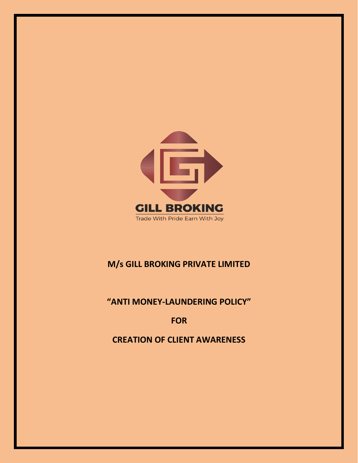

# **M/s GILL BROKING PRIVATE LIMITED**

# **"ANTI MONEY-LAUNDERING POLICY"**

# **FOR**

# **CREATION OF CLIENT AWARENESS**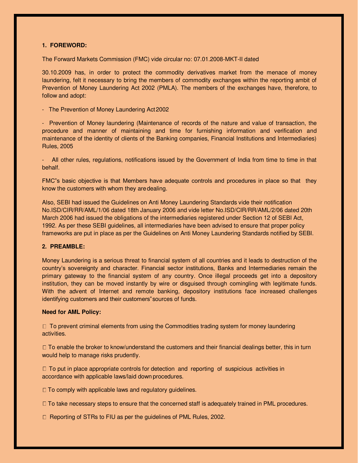# **1. FOREWORD:**

The Forward Markets Commission (FMC) vide circular no: 07.01.2008-MKT-II dated

30.10.2009 has, in order to protect the commodity derivatives market from the menace of money laundering, felt it necessary to bring the members of commodity exchanges within the reporting ambit of Prevention of Money Laundering Act 2002 (PMLA). The members of the exchanges have, therefore, to follow and adopt:

- The Prevention of Money Laundering Act 2002

- Prevention of Money laundering (Maintenance of records of the nature and value of transaction, the procedure and manner of maintaining and time for furnishing information and verification and maintenance of the identity of clients of the Banking companies, Financial Institutions and Intermediaries) Rules, 2005

All other rules, regulations, notifications issued by the Government of India from time to time in that behalf.

FMC"s basic objective is that Members have adequate controls and procedures in place so that they know the customers with whom they are dealing.

Also, SEBI had issued the Guidelines on Anti Money Laundering Standards vide their notification No.ISD/CIR/RR/AML/1/06 dated 18th January 2006 and vide letter No.ISD/CIR/RR/AML/2/06 dated 20th March 2006 had issued the obligations of the intermediaries registered under Section 12 of SEBI Act, 1992. As per these SEBI guidelines, all intermediaries have been advised to ensure that proper policy frameworks are put in place as per the Guidelines on Anti Money Laundering Standards notified by SEBI.

# **2. PREAMBLE:**

Money Laundering is a serious threat to financial system of all countries and it leads to destruction of the country's sovereignty and character. Financial sector institutions, Banks and Intermediaries remain the primary gateway to the financial system of any country. Once illegal proceeds get into a depository institution, they can be moved instantly by wire or disguised through comingling with legitimate funds. With the advent of Internet and remote banking, depository institutions face increased challenges identifying customers and their customers" sources of funds.

#### **Need for AML Policy:**

 $\Box$  To prevent criminal elements from using the Commodities trading system for money laundering activities.

□ To enable the broker to know/understand the customers and their financial dealings better, this in turn would help to manage risks prudently.

 $\Box$  To put in place appropriate controls for detection and reporting of suspicious activities in accordance with applicable laws/laid down procedures.

 $\Box$  To comply with applicable laws and regulatory guidelines.

 $\Box$  To take necessary steps to ensure that the concerned staff is adequately trained in PML procedures.

□ Reporting of STRs to FIU as per the guidelines of PML Rules, 2002.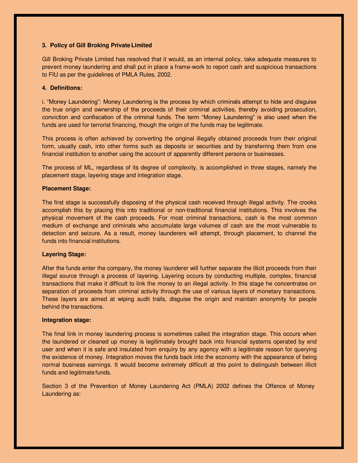# **3. Policy of Gill Broking Private Limited**

Gill Broking Private Limited has resolved that it would, as an internal policy, take adequate measures to prevent money laundering and shall put in place a frame-work to report cash and suspicious transactions to FIU as per the guidelines of PMLA Rules, 2002.

## **4. Definitions:**

i. "Money Laundering": Money Laundering is the process by which criminals attempt to hide and disguise the true origin and ownership of the proceeds of their criminal activities, thereby avoiding prosecution, conviction and confiscation of the criminal funds. The term "Money Laundering" is also used when the funds are used for terrorist financing, though the origin of the funds may be legitimate.

This process is often achieved by converting the original illegally obtained proceeds from their original form, usually cash, into other forms such as deposits or securities and by transferring them from one financial institution to another using the account of apparently different persons or businesses.

The process of ML, regardless of its degree of complexity, is accomplished in three stages, namely the placement stage, layering stage and integration stage.

### **Placement Stage:**

The first stage is successfully disposing of the physical cash received through illegal activity. The crooks accomplish this by placing this into traditional or non-traditional financial institutions. This involves the physical movement of the cash proceeds. For most criminal transactions, cash is the most common medium of exchange and criminals who accumulate large volumes of cash are the most vulnerable to detection and seizure. As a result, money launderers will attempt, through placement, to channel the funds into financial institutions.

# **Layering Stage:**

After the funds enter the company, the money launderer will further separate the illicit proceeds from their illegal source through a process of layering. Layering occurs by conducting multiple, complex, financial transactions that make it difficult to link the money to an illegal activity. In this stage he concentrates on separation of proceeds from criminal activity through the use of various layers of monetary transactions. These layers are aimed at wiping audit trails, disguise the origin and maintain anonymity for people behind the transactions.

#### **Integration stage:**

The final link in money laundering process is sometimes called the integration stage. This occurs when the laundered or cleaned up money is legitimately brought back into financial systems operated by end user and when it is safe and insulated from enquiry by any agency with a legitimate reason for querying the existence of money. Integration moves the funds back into the economy with the appearance of being normal business earnings. It would become extremely difficult at this point to distinguish between illicit funds and legitimate funds.

Section 3 of the Prevention of Money Laundering Act (PMLA) 2002 defines the Offence of Money Laundering as: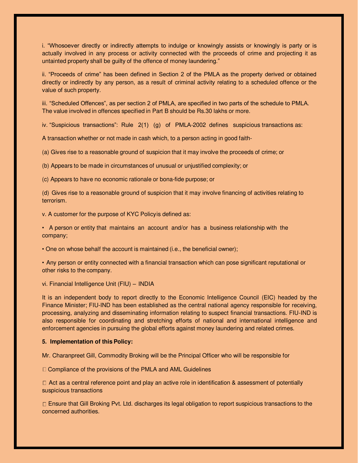i. "Whosoever directly or indirectly attempts to indulge or knowingly assists or knowingly is party or is actually involved in any process or activity connected with the proceeds of crime and projecting it as untainted property shall be guilty of the offence of money laundering."

ii. "Proceeds of crime" has been defined in Section 2 of the PMLA as the property derived or obtained directly or indirectly by any person, as a result of criminal activity relating to a scheduled offence or the value of such property.

iii. "Scheduled Offences", as per section 2 of PMLA, are specified in two parts of the schedule to PMLA. The value involved in offences specified in Part B should be Rs.30 lakhs or more.

iv. "Suspicious transactions": Rule 2(1) (g) of PMLA-2002 defines suspicious transactions as:

A transaction whether or not made in cash which, to a person acting in good faith-

(a) Gives rise to a reasonable ground of suspicion that it may involve the proceeds of crime; or

(b) Appears to be made in circumstances of unusual or unjustified complexity; or

(c) Appears to have no economic rationale or bona-fide purpose; or

(d) Gives rise to a reasonable ground of suspicion that it may involve financing of activities relating to terrorism.

v. A customer for the purpose of KYC Policy is defined as:

• A person or entity that maintains an account and/or has a business relationship with the company;

• One on whose behalf the account is maintained (i.e., the beneficial owner);

• Any person or entity connected with a financial transaction which can pose significant reputational or other risks to the company.

vi. Financial Intelligence Unit (FIU) – INDIA

It is an independent body to report directly to the Economic Intelligence Council (EIC) headed by the Finance Minister; FIU-IND has been established as the central national agency responsible for receiving, processing, analyzing and disseminating information relating to suspect financial transactions. FIU-IND is also responsible for coordinating and stretching efforts of national and international intelligence and enforcement agencies in pursuing the global efforts against money laundering and related crimes.

#### **5. Implementation of this Policy:**

Mr. Charanpreet Gill, Commodity Broking will be the Principal Officer who will be responsible for

□ Compliance of the provisions of the PMLA and AML Guidelines

 $\Box$  Act as a central reference point and play an active role in identification & assessment of potentially suspicious transactions

□ Ensure that Gill Broking Pvt. Ltd. discharges its legal obligation to report suspicious transactions to the concerned authorities.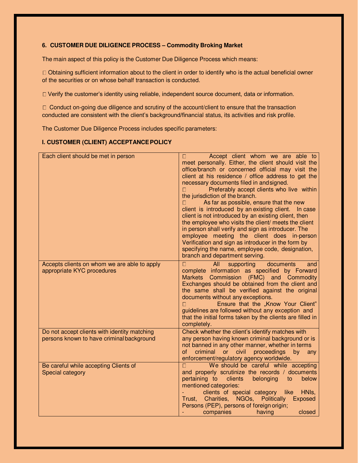# **6. CUSTOMER DUE DILIGENCE PROCESS – Commodity Broking Market**

The main aspect of this policy is the Customer Due Diligence Process which means:

Obtaining sufficient information about to the client in order to identify who is the actual beneficial owner of the securities or on whose behalf transaction is conducted.

Verify the customer's identity using reliable, independent source document, data or information.

 $\Box$  Conduct on-going due diligence and scrutiny of the account/client to ensure that the transaction conducted are consistent with the client's background/financial status, its activities and risk profile.

The Customer Due Diligence Process includes specific parameters:

# **I. CUSTOMER (CLIENT) ACCEPTANCE POLICY**

| Each client should be met in person                                                       | Accept client whom we are able to<br>meet personally. Either, the client should visit the<br>office/branch or concerned official may visit the<br>client at his residence / office address to get the<br>necessary documents filed in and signed.<br>Preferably accept clients who live within<br>п<br>the jurisdiction of the branch.<br>As far as possible, ensure that the new<br>П<br>client is introduced by an existing client. In case<br>client is not introduced by an existing client, then<br>the employee who visits the client/ meets the client<br>in person shall verify and sign as introducer. The<br>employee meeting the client does in-person<br>Verification and sign as introducer in the form by<br>specifying the name, employee code, designation,<br>branch and department serving. |
|-------------------------------------------------------------------------------------------|---------------------------------------------------------------------------------------------------------------------------------------------------------------------------------------------------------------------------------------------------------------------------------------------------------------------------------------------------------------------------------------------------------------------------------------------------------------------------------------------------------------------------------------------------------------------------------------------------------------------------------------------------------------------------------------------------------------------------------------------------------------------------------------------------------------|
| Accepts clients on whom we are able to apply<br>appropriate KYC procedures                | All<br>$\Box$<br>supporting<br>documents<br>and<br>complete information as specified by Forward<br>Markets Commission (FMC) and Commodity<br>Exchanges should be obtained from the client and<br>the same shall be verified against the original<br>documents without any exceptions.<br>Ensure that the "Know Your Client"<br>guidelines are followed without any exception and<br>that the initial forms taken by the clients are filled in<br>completely.                                                                                                                                                                                                                                                                                                                                                  |
| Do not accept clients with identity matching<br>persons known to have criminal background | Check whether the client's identify matches with<br>any person having known criminal background or is<br>not banned in any other manner, whether in terms<br>criminal or civil<br>of<br>proceedings<br>by<br>any<br>enforcement/regulatory agency worldwide.                                                                                                                                                                                                                                                                                                                                                                                                                                                                                                                                                  |
| Be careful while accepting Clients of<br>Special category                                 | We should be careful while accepting<br>П<br>and properly scrutinize the records / documents<br>below<br>pertaining to<br>belonging<br>clients<br>to<br>mentioned categories:<br>clients of special category like<br>HNIs,<br>Trust, Charities, NGOs, Politically Exposed<br>Persons (PEP), persons of foreign origin;<br>closed<br>companies<br>having                                                                                                                                                                                                                                                                                                                                                                                                                                                       |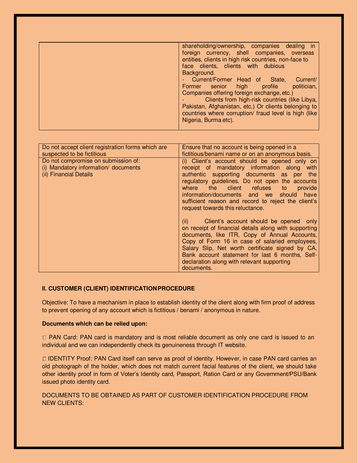| shareholding/ownership, companies dealing in          |
|-------------------------------------------------------|
| foreign currency, shell companies, overseas           |
| entities, clients in high risk countries, non-face to |
| face clients, clients with dubious                    |
| Background.                                           |
| Current/Former Head of State,<br>Current/             |
| politician,<br>Former senior high profile             |
| Companies offering foreign exchange, etc.)            |
| Clients from high-risk countries (like Libya,         |
| Pakistan, Afghanistan, etc.) Or clients belonging to  |
| countries where corruption/ fraud level is high (like |
| Nigeria, Burma etc).                                  |
|                                                       |

| Do not accept client registration forms which are<br>suspected to be fictitious                       | Ensure that no account is being opened in a<br>fictitious/benami name or on an anonymous basis.                                                                                                                                                                                                                                                                                                       |
|-------------------------------------------------------------------------------------------------------|-------------------------------------------------------------------------------------------------------------------------------------------------------------------------------------------------------------------------------------------------------------------------------------------------------------------------------------------------------------------------------------------------------|
| Do not compromise on submission of:<br>(i) Mandatory information/ documents<br>(ii) Financial Details | (i) Client's account should be opened only on<br>receipt of mandatory information along with<br>authentic supporting documents as per the<br>regulatory guidelines. Do not open the accounts<br>where the client refuses<br>provide<br>to<br>information/documents and we should have<br>sufficient reason and record to reject the client's<br>request towards this reluctance.                      |
|                                                                                                       | Client's account should be opened only<br>$\left( \mathbf{ii} \right)$<br>on receipt of financial details along with supporting<br>documents, like ITR, Copy of Annual Accounts,<br>Copy of Form 16 in case of salaried employees,<br>Salary Slip, Net worth certificate signed by CA,<br>Bank account statement for last 6 months, Self-<br>declaration along with relevant supporting<br>documents. |

# **II. CUSTOMER (CLIENT) IDENTIFICATION PROCEDURE**

Objective: To have a mechanism in place to establish identity of the client along with firm proof of address to prevent opening of any account which is fictitious / benami / anonymous in nature.

## **Documents which can be relied upon:**

□ PAN Card: PAN card is mandatory and is most reliable document as only one card is issued to an individual and we can independently check its genuineness through IT website.

IDENTITY Proof: PAN Card itself can serve as proof of identity. However, in case PAN card carries an old photograph of the holder, which does not match current facial features of the client, we should take other identity proof in form of Voter's Identity card, Passport, Ration Card or any Government/PSU/Bank issued photo identity card.

DOCUMENTS TO BE OBTAINED AS PART OF CUSTOMER IDENTIFICATION PROCEDURE FROM NEW CLIENTS: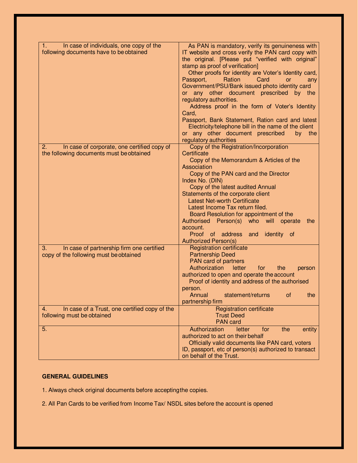| In case of individuals, one copy of the<br>1.<br>following documents have to be obtained | As PAN is mandatory, verify its genuineness with<br>IT website and cross verify the PAN card copy with<br>the original. [Please put "verified with original"<br>stamp as proof of verification]<br>Other proofs for identity are Voter's Identity card,<br>Ration<br>Passport,<br>Card<br><b>or</b><br>any<br>Government/PSU/Bank issued photo identity card<br>or any other document prescribed by the<br>regulatory authorities.<br>Address proof in the form of Voter's Identity<br>Card,<br>Passport, Bank Statement, Ration card and latest<br>Electricity/telephone bill in the name of the client<br>or any other document prescribed<br>by the<br>regulatory authorities |
|------------------------------------------------------------------------------------------|----------------------------------------------------------------------------------------------------------------------------------------------------------------------------------------------------------------------------------------------------------------------------------------------------------------------------------------------------------------------------------------------------------------------------------------------------------------------------------------------------------------------------------------------------------------------------------------------------------------------------------------------------------------------------------|
| In case of corporate, one certified copy of<br>2.                                        | Copy of the Registration/Incorporation                                                                                                                                                                                                                                                                                                                                                                                                                                                                                                                                                                                                                                           |
| the following documents must be obtained                                                 | Certificate<br>Copy of the Memorandum & Articles of the<br>Association<br>Copy of the PAN card and the Director<br>Index No. (DIN)<br>Copy of the latest audited Annual<br>Statements of the corporate client<br><b>Latest Net-worth Certificate</b><br>Latest Income Tax return filed.<br>Board Resolution for appointment of the<br>Authorised Person(s) who will operate<br>the<br>account.<br>Proof of address<br>identity of<br>and<br><b>Authorized Person(s)</b>                                                                                                                                                                                                          |
| In case of partnership firm one certified<br>З.                                          | <b>Registration certificate</b>                                                                                                                                                                                                                                                                                                                                                                                                                                                                                                                                                                                                                                                  |
| copy of the following must be obtained                                                   | <b>Partnership Deed</b>                                                                                                                                                                                                                                                                                                                                                                                                                                                                                                                                                                                                                                                          |
|                                                                                          | PAN card of partners<br>Authorization<br>letter<br>for<br>the<br>person                                                                                                                                                                                                                                                                                                                                                                                                                                                                                                                                                                                                          |
|                                                                                          | authorized to open and operate the account<br>Proof of identity and address of the authorised<br>person.                                                                                                                                                                                                                                                                                                                                                                                                                                                                                                                                                                         |
|                                                                                          | Annual<br>statement/returns<br>0f<br>the<br>partnership firm                                                                                                                                                                                                                                                                                                                                                                                                                                                                                                                                                                                                                     |
| In case of a Trust, one certified copy of the<br>4.                                      | <b>Registration certificate</b>                                                                                                                                                                                                                                                                                                                                                                                                                                                                                                                                                                                                                                                  |
| following must be obtained                                                               | <b>Trust Deed</b><br><b>PAN</b> card                                                                                                                                                                                                                                                                                                                                                                                                                                                                                                                                                                                                                                             |
| 5.                                                                                       | Authorization<br>letter<br>the<br>entity<br>for                                                                                                                                                                                                                                                                                                                                                                                                                                                                                                                                                                                                                                  |
|                                                                                          | authorized to act on their behalf<br>Officially valid documents like PAN card, voters                                                                                                                                                                                                                                                                                                                                                                                                                                                                                                                                                                                            |
|                                                                                          | ID, passport, etc of person(s) authorized to transact<br>on behalf of the Trust.                                                                                                                                                                                                                                                                                                                                                                                                                                                                                                                                                                                                 |

# **GENERAL GUIDELINES**

1. Always check original documents before accepting the copies.

2. All Pan Cards to be verified from Income Tax/ NSDL sites before the account is opened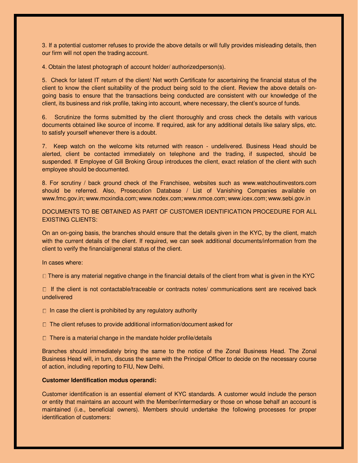3. If a potential customer refuses to provide the above details or will fully provides misleading details, then our firm will not open the trading account.

4. Obtain the latest photograph of account holder/ authorized person(s).

5. Check for latest IT return of the client/ Net worth Certificate for ascertaining the financial status of the client to know the client suitability of the product being sold to the client. Review the above details ongoing basis to ensure that the transactions being conducted are consistent with our knowledge of the client, its business and risk profile, taking into account, where necessary, the client's source of funds.

6. Scrutinize the forms submitted by the client thoroughly and cross check the details with various documents obtained like source of income. If required, ask for any additional details like salary slips, etc. to satisfy yourself whenever there is a doubt.

7. Keep watch on the welcome kits returned with reason - undelivered. Business Head should be alerted, client be contacted immediately on telephone and the trading, if suspected, should be suspended. If Employee of Gill Broking Group introduces the client, exact relation of the client with such employee should be documented.

8. For scrutiny / back ground check of the Franchisee, websites such as [www.watchoutinvestors.com](http://www.watchoutinvestors.com/)  should be referred. Also, Prosecution Database / List of Vanishing Companies available o[n](http://www.fmc.gov.in/)  [www.fmc.gov.in;](http://www.fmc.gov.in/) [www.mcxindia.com](http://www.mcxindia.com/)[; www.ncdex.com](http://www.ncdex.com/)[; www.nmce.com; www.icex.com](http://www.nmce.com/)[; www.sebi.gov.in](http://www.sebi.gov.in/) 

DOCUMENTS TO BE OBTAINED AS PART OF CUSTOMER IDENTIFICATION PROCEDURE FOR ALL EXISTING CLIENTS:

On an on-going basis, the branches should ensure that the details given in the KYC, by the client, match with the current details of the client. If required, we can seek additional documents/information from the client to verify the financial/general status of the client.

In cases where:

 $\Box$  There is any material negative change in the financial details of the client from what is given in the KYC

 $\Box$  If the client is not contactable/traceable or contracts notes/ communications sent are received back undelivered

 $\Box$  In case the client is prohibited by any regulatory authority

 $\Box$  The client refuses to provide additional information/document asked for

 $\Box$  There is a material change in the mandate holder profile/details

Branches should immediately bring the same to the notice of the Zonal Business Head. The Zonal Business Head will, in turn, discuss the same with the Principal Officer to decide on the necessary course of action, including reporting to FIU, New Delhi.

# **Customer Identification modus operandi:**

Customer identification is an essential element of KYC standards. A customer would include the person or entity that maintains an account with the Member/intermediary or those on whose behalf an account is maintained (i.e., beneficial owners). Members should undertake the following processes for proper identification of customers: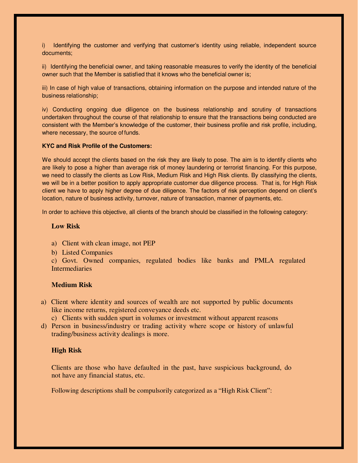i) Identifying the customer and verifying that customer's identity using reliable, independent source documents;

ii) Identifying the beneficial owner, and taking reasonable measures to verify the identity of the beneficial owner such that the Member is satisfied that it knows who the beneficial owner is;

iii) In case of high value of transactions, obtaining information on the purpose and intended nature of the business relationship;

iv) Conducting ongoing due diligence on the business relationship and scrutiny of transactions undertaken throughout the course of that relationship to ensure that the transactions being conducted are consistent with the Member's knowledge of the customer, their business profile and risk profile, including, where necessary, the source of funds.

# **KYC and Risk Profile of the Customers:**

We should accept the clients based on the risk they are likely to pose. The aim is to identify clients who are likely to pose a higher than average risk of money laundering or terrorist financing. For this purpose, we need to classify the clients as Low Risk, Medium Risk and High Risk clients. By classifying the clients, we will be in a better position to apply appropriate customer due diligence process. That is, for High Risk client we have to apply higher degree of due diligence. The factors of risk perception depend on client's location, nature of business activity, turnover, nature of transaction, manner of payments, etc.

In order to achieve this objective, all clients of the branch should be classified in the following category:

# **Low Risk**

- a) Client with clean image, not PEP
- b) Listed Companies

c) Govt. Owned companies, regulated bodies like banks and PMLA regulated **Intermediaries** 

# **Medium Risk**

a) Client where identity and sources of wealth are not supported by public documents like income returns, registered conveyance deeds etc.

c) Clients with sudden spurt in volumes or investment without apparent reasons

d) Person in business/industry or trading activity where scope or history of unlawful trading/business activity dealings is more.

# **High Risk**

Clients are those who have defaulted in the past, have suspicious background, do not have any financial status, etc.

Following descriptions shall be compulsorily categorized as a "High Risk Client":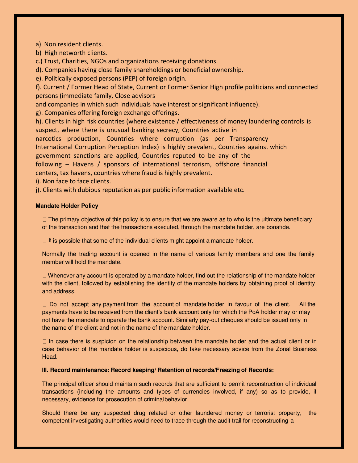a) Non resident clients.

b) High networth clients.

c.) Trust, Charities, NGOs and organizations receiving donations.

d). Companies having close family shareholdings or beneficial ownership.

e). Politically exposed persons (PEP) of foreign origin.

f). Current / Former Head of State, Current or Former Senior High profile politicians and connected persons (immediate family, Close advisors

and companies in which such individuals have interest or significant influence).

g). Companies offering foreign exchange offerings.

h). Clients in high risk countries (where existence / effectiveness of money laundering controls is suspect, where there is unusual banking secrecy, Countries active in narcotics production, Countries where corruption (as per Transparency International Corruption Perception Index) is highly prevalent, Countries against which government sanctions are applied, Countries reputed to be any of the following – Havens / sponsors of international terrorism, offshore financial centers, tax havens, countries where fraud is highly prevalent.

i). Non face to face clients.

j). Clients with dubious reputation as per public information available etc.

# **Mandate Holder Policy**

 $\Box$  The primary objective of this policy is to ensure that we are aware as to who is the ultimate beneficiary of the transaction and that the transactions executed, through the mandate holder, are bonafide.

If is possible that some of the individual clients might appoint a mandate holder.

Normally the trading account is opened in the name of various family members and one the family member will hold the mandate.

 $\Box$  Whenever any account is operated by a mandate holder, find out the relationship of the mandate holder with the client, followed by establishing the identity of the mandate holders by obtaining proof of identity and address.

 $\Box$  Do not accept any payment from the account of mandate holder in favour of the client. All the payments have to be received from the client's bank account only for which the PoA holder may or may not have the mandate to operate the bank account. Similarly pay-out cheques should be issued only in the name of the client and not in the name of the mandate holder.

 $\Box$  In case there is suspicion on the relationship between the mandate holder and the actual client or in case behavior of the mandate holder is suspicious, do take necessary advice from the Zonal Business Head.

## **III. Record maintenance: Record keeping/ Retention of records/Freezing of Records:**

The principal officer should maintain such records that are sufficient to permit reconstruction of individual transactions (including the amounts and types of currencies involved, if any) so as to provide, if necessary, evidence for prosecution of criminal behavior.

Should there be any suspected drug related or other laundered money or terrorist property, the competent investigating authorities would need to trace through the audit trail for reconstructing a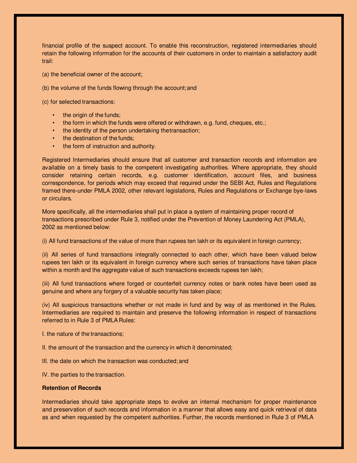financial profile of the suspect account. To enable this reconstruction, registered intermediaries should retain the following information for the accounts of their customers in order to maintain a satisfactory audit trail:

- (a) the beneficial owner of the account;
- (b) the volume of the funds flowing through the account; and
- (c) for selected transactions:
	- the origin of the funds;
	- the form in which the funds were offered or withdrawn, e.g. fund, cheques, etc.;
	- the identity of the person undertaking the transaction;
	- the destination of the funds;
	- the form of instruction and authority.

Registered Intermediaries should ensure that all customer and transaction records and information are available on a timely basis to the competent investigating authorities. Where appropriate, they should consider retaining certain records, e.g. customer identification, account files, and business correspondence, for periods which may exceed that required under the SEBI Act, Rules and Regulations framed there-under PMLA 2002, other relevant legislations, Rules and Regulations or Exchange bye-laws or circulars.

More specifically, all the intermediaries shall put in place a system of maintaining proper record of transactions prescribed under Rule 3, notified under the Prevention of Money Laundering Act (PMLA), 2002 as mentioned below:

(i) All fund transactions of the value of more than rupees ten lakh or its equivalent in foreign currency;

(ii) All series of fund transactions integrally connected to each other, which have been valued below rupees ten lakh or its equivalent in foreign currency where such series of transactions have taken place within a month and the aggregate value of such transactions exceeds rupees ten lakh;

(iii) All fund transactions where forged or counterfeit currency notes or bank notes have been used as genuine and where any forgery of a valuable security has taken place;

(iv) All suspicious transactions whether or not made in fund and by way of as mentioned in the Rules. Intermediaries are required to maintain and preserve the following information in respect of transactions referred to in Rule 3 of PMLA Rules:

I. the nature of the transactions;

II. the amount of the transaction and the currency in which it denominated;

III. the date on which the transaction was conducted; and

IV. the parties to the transaction.

## **Retention of Records**

Intermediaries should take appropriate steps to evolve an internal mechanism for proper maintenance and preservation of such records and information in a manner that allows easy and quick retrieval of data as and when requested by the competent authorities. Further, the records mentioned in Rule 3 of PMLA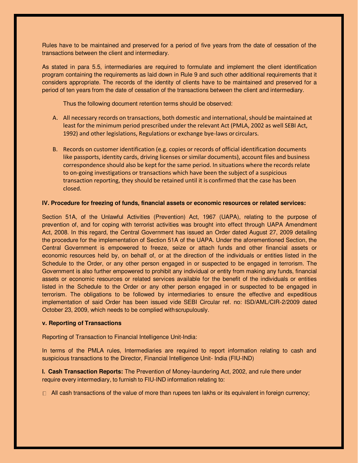Rules have to be maintained and preserved for a period of five years from the date of cessation of the transactions between the client and intermediary.

As stated in para 5.5, intermediaries are required to formulate and implement the client identification program containing the requirements as laid down in Rule 9 and such other additional requirements that it considers appropriate. The records of the identity of clients have to be maintained and preserved for a period of ten years from the date of cessation of the transactions between the client and intermediary.

Thus the following document retention terms should be observed:

- A. All necessary records on transactions, both domestic and international, should be maintained at least for the minimum period prescribed under the relevant Act (PMLA, 2002 as well SEBI Act, 1992) and other legislations, Regulations or exchange bye-laws or circulars.
- B. Records on customer identification (e.g. copies or records of official identification documents like passports, identity cards, driving licenses or similar documents), account files and business correspondence should also be kept for the same period. In situations where the records relate to on-going investigations or transactions which have been the subject of a suspicious transaction reporting, they should be retained until it is confirmed that the case has been closed.

# **IV. Procedure for freezing of funds, financial assets or economic resources or related services:**

Section 51A, of the Unlawful Activities (Prevention) Act, 1967 (UAPA), relating to the purpose of prevention of, and for coping with terrorist activities was brought into effect through UAPA Amendment Act, 2008. In this regard, the Central Government has issued an Order dated August 27, 2009 detailing the procedure for the implementation of Section 51A of the UAPA. Under the aforementioned Section, the Central Government is empowered to freeze, seize or attach funds and other financial assets or economic resources held by, on behalf of, or at the direction of the individuals or entities listed in the Schedule to the Order, or any other person engaged in or suspected to be engaged in terrorism. The Government is also further empowered to prohibit any individual or entity from making any funds, financial assets or economic resources or related services available for the benefit of the individuals or entities listed in the Schedule to the Order or any other person engaged in or suspected to be engaged in terrorism. The obligations to be followed by intermediaries to ensure the effective and expeditious implementation of said Order has been issued vide SEBI Circular ref. no: ISD/AML/CIR-2/2009 dated October 23, 2009, which needs to be complied with scrupulously.

# **v. Reporting of Transactions**

Reporting of Transaction to Financial Intelligence Unit-India:

In terms of the PMLA rules, Intermediaries are required to report information relating to cash and suspicious transactions to the Director, Financial Intelligence Unit- India (FIU-IND)

**I. Cash Transaction Reports:** The Prevention of Money-laundering Act, 2002, and rule there under require every intermediary, to furnish to FIU-IND information relating to:

 $\Box$  All cash transactions of the value of more than rupees ten lakhs or its equivalent in foreign currency;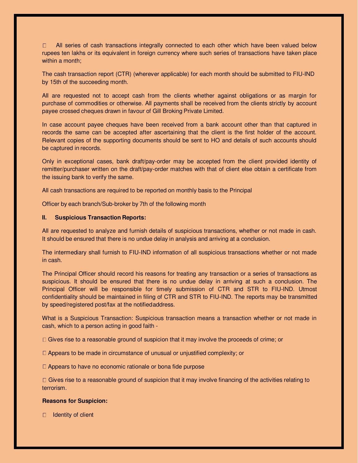All series of cash transactions integrally connected to each other which have been valued below  $\Box$ rupees ten lakhs or its equivalent in foreign currency where such series of transactions have taken place within a month;

The cash transaction report (CTR) (wherever applicable) for each month should be submitted to FIU-IND by 15th of the succeeding month.

All are requested not to accept cash from the clients whether against obligations or as margin for purchase of commodities or otherwise. All payments shall be received from the clients strictly by account payee crossed cheques drawn in favour of Gill Broking Private Limited.

In case account payee cheques have been received from a bank account other than that captured in records the same can be accepted after ascertaining that the client is the first holder of the account. Relevant copies of the supporting documents should be sent to HO and details of such accounts should be captured in records.

Only in exceptional cases, bank draft/pay-order may be accepted from the client provided identity of remitter/purchaser written on the draft/pay-order matches with that of client else obtain a certificate from the issuing bank to verify the same.

All cash transactions are required to be reported on monthly basis to the Principal

Officer by each branch/Sub-broker by 7th of the following month

### **II. Suspicious Transaction Reports:**

All are requested to analyze and furnish details of suspicious transactions, whether or not made in cash. It should be ensured that there is no undue delay in analysis and arriving at a conclusion.

The intermediary shall furnish to FIU-IND information of all suspicious transactions whether or not made in cash.

The Principal Officer should record his reasons for treating any transaction or a series of transactions as suspicious. It should be ensured that there is no undue delay in arriving at such a conclusion. The Principal Officer will be responsible for timely submission of CTR and STR to FIU-IND. Utmost confidentiality should be maintained in filing of CTR and STR to FIU-IND. The reports may be transmitted by speed/registered post/fax at the notified address.

What is a Suspicious Transaction: Suspicious transaction means a transaction whether or not made in cash, which to a person acting in good faith -

 $\Box$  Gives rise to a reasonable ground of suspicion that it may involve the proceeds of crime; or

 $\Box$  Appears to be made in circumstance of unusual or unjustified complexity; or

 $\Box$  Appears to have no economic rationale or bona fide purpose

 $\Box$  Gives rise to a reasonable ground of suspicion that it may involve financing of the activities relating to terrorism.

#### **Reasons for Suspicion:**

 $\Box$  Identity of client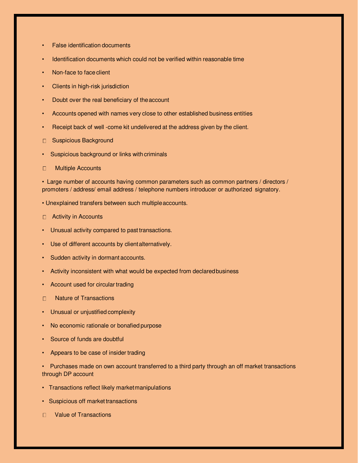- **False identification documents**
- Identification documents which could not be verified within reasonable time
- Non-face to face client
- Clients in high-risk jurisdiction
- Doubt over the real beneficiary of the account
- Accounts opened with names very close to other established business entities
- Receipt back of well -come kit undelivered at the address given by the client.
- □ Suspicious Background
- Suspicious background or links with criminals
- Multiple Accounts  $\Box$

• Large number of accounts having common parameters such as common partners / directors / promoters / address/ email address / telephone numbers introducer or authorized signatory.

- Unexplained transfers between such multiple accounts.
- □ Activity in Accounts
- Unusual activity compared to past transactions.
- Use of different accounts by client alternatively.
- Sudden activity in dormant accounts.
- Activity inconsistent with what would be expected from declared business
- Account used for circular trading
- $\Box$ Nature of Transactions
- Unusual or unjustified complexity
- No economic rationale or bonafied purpose
- Source of funds are doubtful
- Appears to be case of insider trading
- Purchases made on own account transferred to a third party through an off market transactions through DP account
- Transactions reflect likely market manipulations
- Suspicious off market transactions
- D Value of Transactions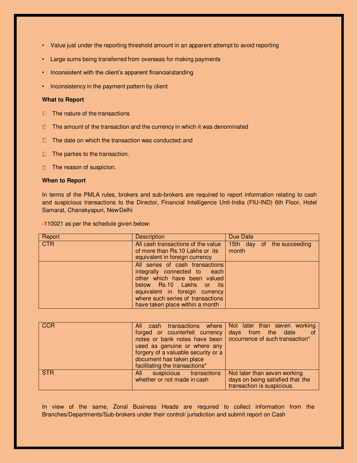- Value just under the reporting threshold amount in an apparent attempt to avoid reporting
- Large sums being transferred from overseas for making payments
- Inconsistent with the client's apparent financial standing
- Inconsistency in the payment pattern by client

# **What to Report**

- $\Box$  The nature of the transactions
- $\Box$  The amount of the transaction and the currency in which it was denominated
- $\Box$  The date on which the transaction was conducted: and
- $\Box$  The parties to the transaction.
- □ The reason of suspicion.

### **When to Report**

In terms of the PMLA rules, brokers and sub-brokers are required to report information relating to cash and suspicious transactions to the Director, Financial Intelligence Unit-India (FIU-IND) 6th Floor, Hotel Samarat, Chanakyapuri, New Delhi

-110021 as per the schedule given below:

| Report     | <b>Description</b>                                                                                                                                                                                                                    | Due Date                            |
|------------|---------------------------------------------------------------------------------------------------------------------------------------------------------------------------------------------------------------------------------------|-------------------------------------|
| <b>CTR</b> | All cash transactions of the value<br>of more than Rs.10 Lakhs or its<br>equivalent in foreign currency                                                                                                                               | 15th day of the succeeding<br>month |
|            | All series of cash transactions<br>integrally connected to each<br>other which have been valued<br>below Rs.10 Lakhs or its<br>equivalent in foreign currency<br>where such series of transactions<br>have taken place within a month |                                     |

| <b>CCR</b> | cash transactions where<br>All<br>forged or counterfeit currency<br>notes or bank notes have been<br>used as genuine or where any<br>forgery of a valuable security or a<br>document has taken place<br>facilitating the transactions* | Not later than seven working<br>days from the date<br>of<br>occurrence of such transaction*    |
|------------|----------------------------------------------------------------------------------------------------------------------------------------------------------------------------------------------------------------------------------------|------------------------------------------------------------------------------------------------|
| <b>STR</b> | suspicious transactions<br>All<br>whether or not made in cash                                                                                                                                                                          | Not later than seven working<br>days on being satisfied that the<br>transaction is suspicious. |

In view of the same, Zonal Business Heads are required to collect information from the Branches/Departments/Sub-brokers under their control/ jurisdiction and submit report on Cash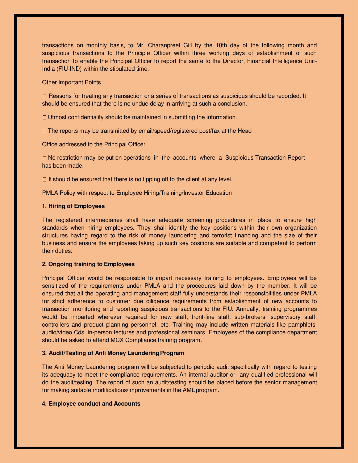transactions on monthly basis, to Mr. Charanpreet Gill by the 10th day of the following month and suspicious transactions to the Principle Officer within three working days of establishment of such transaction to enable the Principal Officer to report the same to the Director, Financial Intelligence Unit-India (FIU-IND) within the stipulated time.

## Other Important Points

 $\Box$  Reasons for treating any transaction or a series of transactions as suspicious should be recorded. It should be ensured that there is no undue delay in arriving at such a conclusion.

 $\Box$  Utmost confidentiality should be maintained in submitting the information.

 $\Box$  The reports may be transmitted by email/speed/registered post/fax at the Head

Office addressed to the Principal Officer.

 $\Box$  No restriction may be put on operations in the accounts where a Suspicious Transaction Report has been made.

It should be ensured that there is no tipping off to the client at any level.

PMLA Policy with respect to Employee Hiring/Training/Investor Education

## **1. Hiring of Employees**

The registered intermediaries shall have adequate screening procedures in place to ensure high standards when hiring employees. They shall identify the key positions within their own organization structures having regard to the risk of money laundering and terrorist financing and the size of their business and ensure the employees taking up such key positions are suitable and competent to perform their duties.

# **2. Ongoing training to Employees**

Principal Officer would be responsible to impart necessary training to employees. Employees will be sensitized of the requirements under PMLA and the procedures laid down by the member. It will be ensured that all the operating and management staff fully understands their responsibilities under PMLA for strict adherence to customer due diligence requirements from establishment of new accounts to transaction monitoring and reporting suspicious transactions to the FIU. Annually, training programmes would be imparted wherever required for new staff, front-line staff, sub-brokers, supervisory staff, controllers and product planning personnel, etc. Training may include written materials like pamphlets, audio/video Cds, in-person lectures and professional seminars. Employees of the compliance department should be asked to attend MCX Compliance training program.

#### **3. Audit/Testing of Anti Money Laundering Program**

The Anti Money Laundering program will be subjected to periodic audit specifically with regard to testing its adequacy to meet the compliance requirements. An internal auditor or any qualified professional will do the audit/testing. The report of such an audit/testing should be placed before the senior management for making suitable modifications/improvements in the AML program.

#### **4. Employee conduct and Accounts**